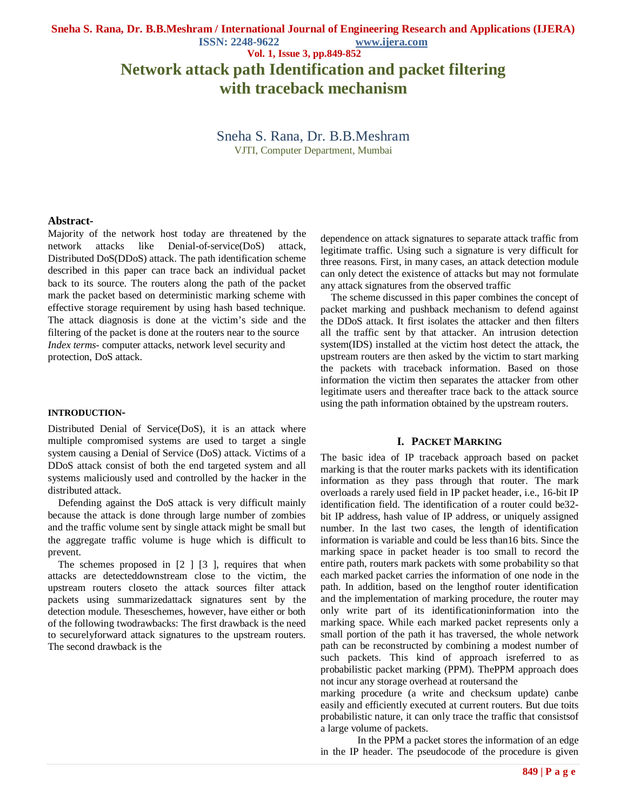#### **ISSN: 2248-9622 www.ijera.com**

#### **Vol. 1, Issue 3, pp.849-852**

# **Network attack path Identification and packet filtering with traceback mechanism**

# Sneha S. Rana, Dr. B.B.Meshram VJTI, Computer Department, Mumbai

**Abstract-**

Majority of the network host today are threatened by the network attacks like Denial-of-service(DoS) attack, Distributed DoS(DDoS) attack. The path identification scheme described in this paper can trace back an individual packet back to its source. The routers along the path of the packet mark the packet based on deterministic marking scheme with effective storage requirement by using hash based technique. The attack diagnosis is done at the victim's side and the filtering of the packet is done at the routers near to the source *Index terms*- computer attacks, network level security and protection, DoS attack.

#### **INTRODUCTION-**

Distributed Denial of Service(DoS), it is an attack where multiple compromised systems are used to target a single system causing a Denial of Service (DoS) attack. Victims of a DDoS attack consist of both the end targeted system and all systems maliciously used and controlled by the hacker in the distributed attack.

Defending against the DoS attack is very difficult mainly because the attack is done through large number of zombies and the traffic volume sent by single attack might be small but the aggregate traffic volume is huge which is difficult to prevent.

The schemes proposed in  $[2 \mid 3]$ , requires that when attacks are detecteddownstream close to the victim, the upstream routers closeto the attack sources filter attack packets using summarizedattack signatures sent by the detection module. Theseschemes, however, have either or both of the following twodrawbacks: The first drawback is the need to securelyforward attack signatures to the upstream routers. The second drawback is the

dependence on attack signatures to separate attack traffic from legitimate traffic. Using such a signature is very difficult for three reasons. First, in many cases, an attack detection module can only detect the existence of attacks but may not formulate any attack signatures from the observed traffic

The scheme discussed in this paper combines the concept of packet marking and pushback mechanism to defend against the DDoS attack. It first isolates the attacker and then filters all the traffic sent by that attacker. An intrusion detection system(IDS) installed at the victim host detect the attack, the upstream routers are then asked by the victim to start marking the packets with traceback information. Based on those information the victim then separates the attacker from other legitimate users and thereafter trace back to the attack source using the path information obtained by the upstream routers.

## **I. PACKET MARKING**

The basic idea of IP traceback approach based on packet marking is that the router marks packets with its identification information as they pass through that router. The mark overloads a rarely used field in IP packet header, i.e., 16-bit IP identification field. The identification of a router could be32 bit IP address, hash value of IP address, or uniquely assigned number. In the last two cases, the length of identification information is variable and could be less than16 bits. Since the marking space in packet header is too small to record the entire path, routers mark packets with some probability so that each marked packet carries the information of one node in the path. In addition, based on the lengthof router identification and the implementation of marking procedure, the router may only write part of its identificationinformation into the marking space. While each marked packet represents only a small portion of the path it has traversed, the whole network path can be reconstructed by combining a modest number of such packets. This kind of approach isreferred to as probabilistic packet marking (PPM). ThePPM approach does not incur any storage overhead at routersand the

marking procedure (a write and checksum update) canbe easily and efficiently executed at current routers. But due toits probabilistic nature, it can only trace the traffic that consistsof a large volume of packets.

In the PPM a packet stores the information of an edge in the IP header. The pseudocode of the procedure is given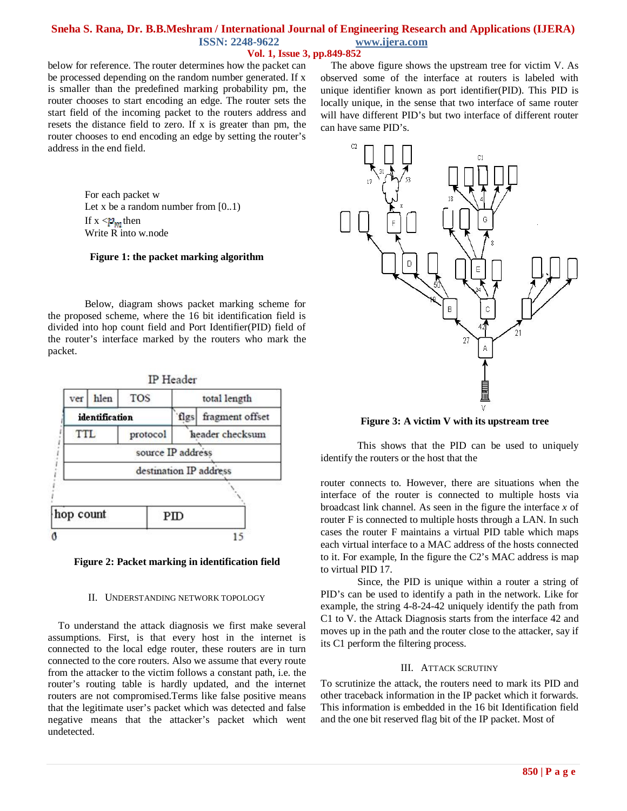# **Sneha S. Rana, Dr. B.B.Meshram / International Journal of Engineering Research and Applications (IJERA) ISSN: 2248-9622 www.ijera.com**

# **Vol. 1, Issue 3, pp.849-852**

below for reference. The router determines how the packet can be processed depending on the random number generated. If x is smaller than the predefined marking probability pm, the router chooses to start encoding an edge. The router sets the start field of the incoming packet to the routers address and resets the distance field to zero. If x is greater than pm, the router chooses to end encoding an edge by setting the router's address in the end field.

> For each packet w Let x be a random number from  $[0..1)$ If  $x \leq p_m$  then Write R into w.node

## **Figure 1: the packet marking algorithm**

Below, diagram shows packet marking scheme for the proposed scheme, where the 16 bit identification field is divided into hop count field and Port Identifier(PID) field of the router's interface marked by the routers who mark the packet.





#### II. UNDERSTANDING NETWORK TOPOLOGY

To understand the attack diagnosis we first make several assumptions. First, is that every host in the internet is connected to the local edge router, these routers are in turn connected to the core routers. Also we assume that every route from the attacker to the victim follows a constant path, i.e. the router's routing table is hardly updated, and the internet routers are not compromised.Terms like false positive means that the legitimate user's packet which was detected and false negative means that the attacker's packet which went undetected.

The above figure shows the upstream tree for victim V. As observed some of the interface at routers is labeled with unique identifier known as port identifier(PID). This PID is locally unique, in the sense that two interface of same router will have different PID's but two interface of different router can have same PID's.



**Figure 3: A victim V with its upstream tree**

This shows that the PID can be used to uniquely identify the routers or the host that the

router connects to. However, there are situations when the interface of the router is connected to multiple hosts via broadcast link channel. As seen in the figure the interface *x* of router F is connected to multiple hosts through a LAN. In such cases the router F maintains a virtual PID table which maps each virtual interface to a MAC address of the hosts connected to it. For example, In the figure the C2's MAC address is map to virtual PID 17.

Since, the PID is unique within a router a string of PID's can be used to identify a path in the network. Like for example, the string 4-8-24-42 uniquely identify the path from C1 to V. the Attack Diagnosis starts from the interface 42 and moves up in the path and the router close to the attacker, say if its C1 perform the filtering process.

#### III. ATTACK SCRUTINY

To scrutinize the attack, the routers need to mark its PID and other traceback information in the IP packet which it forwards. This information is embedded in the 16 bit Identification field and the one bit reserved flag bit of the IP packet. Most of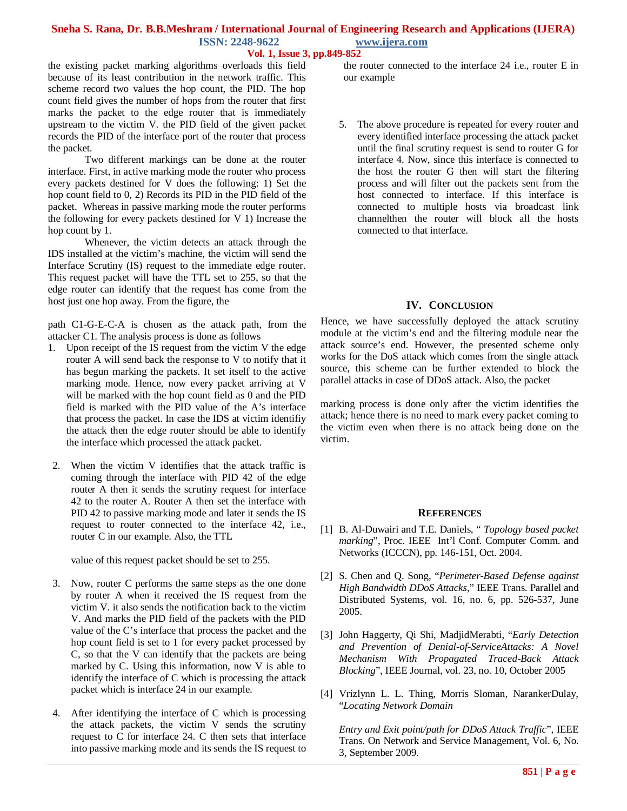## **Sneha S. Rana, Dr. B.B.Meshram / International Journal of Engineering Research and Applications (IJERA) ISSN: 2248-9622 www.ijera.com**

## **Vol. 1, Issue 3, pp.849-852**

the existing packet marking algorithms overloads this field because of its least contribution in the network traffic. This scheme record two values the hop count, the PID. The hop count field gives the number of hops from the router that first marks the packet to the edge router that is immediately upstream to the victim V. the PID field of the given packet records the PID of the interface port of the router that process the packet.

Two different markings can be done at the router interface. First, in active marking mode the router who process every packets destined for V does the following: 1) Set the hop count field to 0, 2) Records its PID in the PID field of the packet. Whereas in passive marking mode the router performs the following for every packets destined for V 1) Increase the hop count by 1.

Whenever, the victim detects an attack through the IDS installed at the victim's machine, the victim will send the Interface Scrutiny (IS) request to the immediate edge router. This request packet will have the TTL set to 255, so that the edge router can identify that the request has come from the host just one hop away. From the figure, the

path C1-G-E-C-A is chosen as the attack path, from the attacker C1. The analysis process is done as follows

- 1. Upon receipt of the IS request from the victim V the edge router A will send back the response to V to notify that it has begun marking the packets. It set itself to the active marking mode. Hence, now every packet arriving at V will be marked with the hop count field as 0 and the PID field is marked with the PID value of the A's interface that process the packet. In case the IDS at victim identifiy the attack then the edge router should be able to identify the interface which processed the attack packet.
- 2. When the victim V identifies that the attack traffic is coming through the interface with PID 42 of the edge router A then it sends the scrutiny request for interface 42 to the router A. Router A then set the interface with PID 42 to passive marking mode and later it sends the IS request to router connected to the interface 42, i.e., router C in our example. Also, the TTL

value of this request packet should be set to 255.

- 3. Now, router C performs the same steps as the one done by router A when it received the IS request from the victim V. it also sends the notification back to the victim V. And marks the PID field of the packets with the PID value of the C's interface that process the packet and the hop count field is set to 1 for every packet processed by C, so that the V can identify that the packets are being marked by C. Using this information, now V is able to identify the interface of C which is processing the attack packet which is interface 24 in our example.
- 4. After identifying the interface of C which is processing the attack packets, the victim V sends the scrutiny request to C for interface 24. C then sets that interface into passive marking mode and its sends the IS request to

the router connected to the interface 24 i.e., router E in our example

5. The above procedure is repeated for every router and every identified interface processing the attack packet until the final scrutiny request is send to router G for interface 4. Now, since this interface is connected to the host the router G then will start the filtering process and will filter out the packets sent from the host connected to interface. If this interface is connected to multiple hosts via broadcast link channelthen the router will block all the hosts connected to that interface.

# **IV. CONCLUSION**

Hence, we have successfully deployed the attack scrutiny module at the victim's end and the filtering module near the attack source's end. However, the presented scheme only works for the DoS attack which comes from the single attack source, this scheme can be further extended to block the parallel attacks in case of DDoS attack. Also, the packet

marking process is done only after the victim identifies the attack; hence there is no need to mark every packet coming to the victim even when there is no attack being done on the victim.

## **REFERENCES**

- [1] B. Al-Duwairi and T.E. Daniels, " *Topology based packet marking*", Proc. IEEE Int'l Conf. Computer Comm. and Networks (ICCCN), pp. 146-151, Oct. 2004.
- [2] S. Chen and Q. Song, "*Perimeter-Based Defense against High Bandwidth DDoS Attacks*," IEEE Trans. Parallel and Distributed Systems, vol. 16, no. 6, pp. 526-537, June 2005.
- [3] John Haggerty, Qi Shi, MadjidMerabti, "*Early Detection and Prevention of Denial-of-ServiceAttacks: A Novel Mechanism With Propagated Traced-Back Attack Blocking*", IEEE Journal, vol. 23, no. 10, October 2005
- [4] Vrizlynn L. L. Thing, Morris Sloman, NarankerDulay, "*Locating Network Domain*

*Entry and Exit point/path for DDoS Attack Traffic*", IEEE Trans. On Network and Service Management, Vol. 6, No. 3, September 2009.